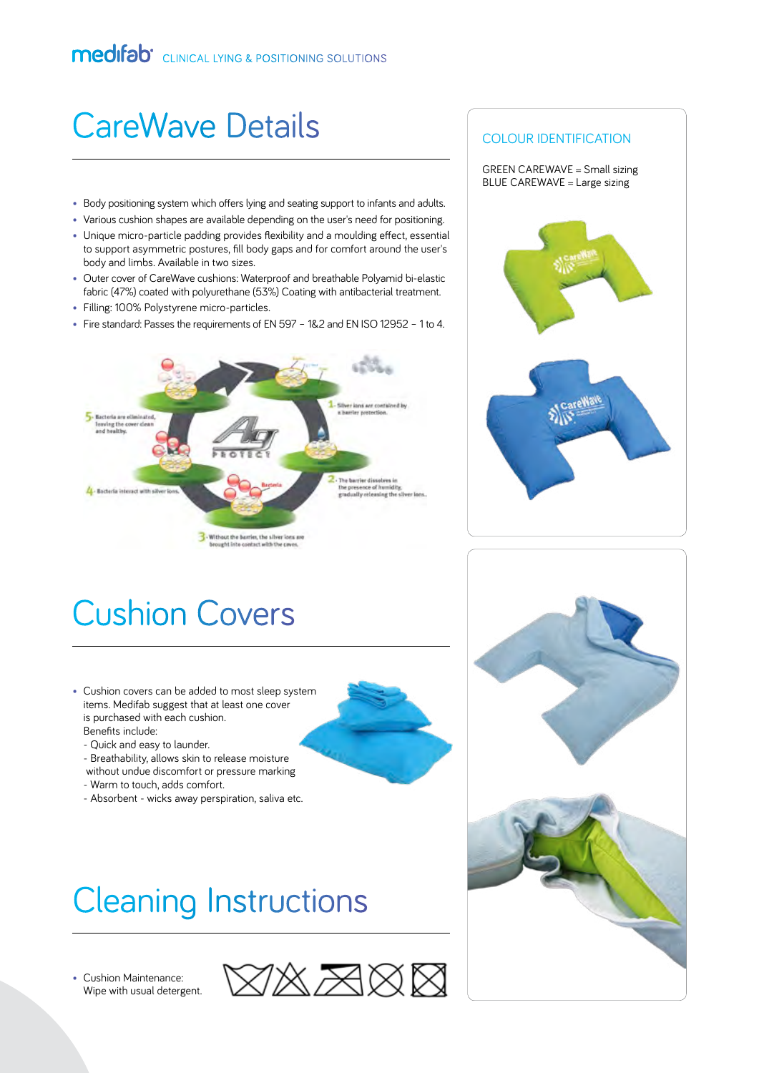# CareWave Details

- Body positioning system which offers lying and seating support to infants and adults.
- Various cushion shapes are available depending on the user's need for positioning.
- Unique micro-particle padding provides flexibility and a moulding effect, essential to support asymmetric postures, fill body gaps and for comfort around the user's body and limbs. Available in two sizes.
- Outer cover of CareWave cushions: Waterproof and breathable Polyamid bi-elastic fabric (47%) coated with polyurethane (53%) Coating with antibacterial treatment.
- Filling: 100% Polystyrene micro-particles.
- Fire standard: Passes the requirements of EN 597 1&2 and EN ISO 12952 1 to 4.



# Cushion Covers

- Cushion covers can be added to most sleep system items. Medifab suggest that at least one cover is purchased with each cushion. Benefits include:
	- Quick and easy to launder.
	- Breathability, allows skin to release moisture without undue discomfort or pressure marking
	- Warm to touch, adds comfort.
	- Absorbent wicks away perspiration, saliva etc.

# Cleaning Instructions

• Cushion Maintenance: Wipe with usual detergent.



#### COLOUR IDENTIFICATION

# GREEN CAREWAVE = Small sizing BLUE CAREWAVE = Large sizing

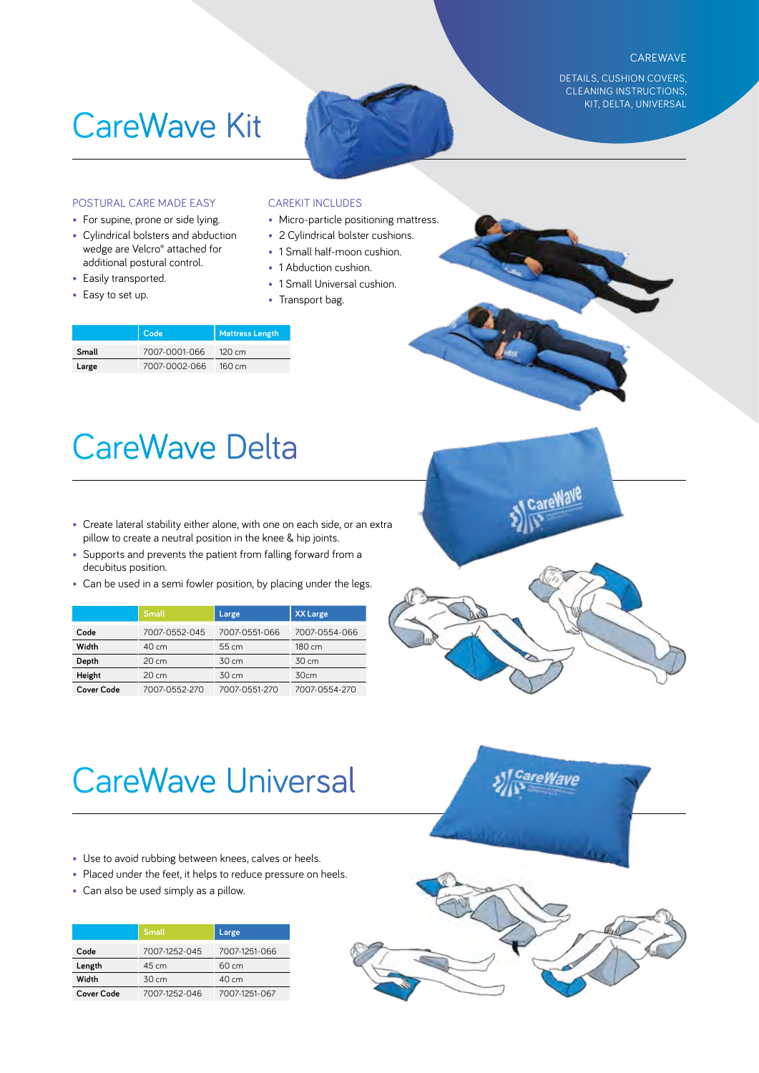#### CAREWAVE

DETAILS, CUSHION COVERS, CLEANING INSTRUCTIONS, KIT, DELTA, UNIVERSAL

## CareWave Kit

#### POSTURAL CARE MADE EASY

- For supine, prone or side lying.
- Cylindrical bolsters and abduction wedge are Velcro® attached for additional postural control.
- Easily transported.
- Easy to set up.

#### CAREKIT INCLUDES

- Micro-particle positioning mattress.
- 2 Cylindrical bolster cushions.
- 1 Small half-moon cushion.
- 1 Abduction cushion.
- 1 Small Universal cushion.
- Transport bag.

|       | Code          | <b>Mattress Length</b> |
|-------|---------------|------------------------|
| Small | 7007-0001-066 | $120 \text{ cm}$       |
| Large | 7007-0002-066 | $160 \text{ cm}$       |

#### CareWave Delta

- Create lateral stability either alone, with one on each side, or an extra pillow to create a neutral position in the knee & hip joints.
- Supports and prevents the patient from falling forward from a decubitus position.
- Can be used in a semi fowler position, by placing under the legs.

|                   | <b>Small</b>    | Large         | <b>XX Large</b> |
|-------------------|-----------------|---------------|-----------------|
| Code              | 7007-0552-045   | 7007-0551-066 | 7007-0554-066   |
| Width             | 40 cm           | 55 cm         | 180 cm          |
| Depth             | $20 \text{ cm}$ | 30 cm         | 30 cm           |
| Height            | $20 \text{ cm}$ | 30 cm         | 30cm            |
| <b>Cover Code</b> | 7007-0552-270   | 7007-0551-270 | 7007-0554-270   |



## CareWave Universal

- Use to avoid rubbing between knees, calves or heels.
- Placed under the feet, it helps to reduce pressure on heels.
- Can also be used simply as a pillow.

|            | <b>Small</b>  | Large           |
|------------|---------------|-----------------|
| Code       | 7007-1252-045 | 7007-1251-066   |
| Length     | 45 cm         | $60 \text{ cm}$ |
| Width      | 30 cm         | $40 \text{ cm}$ |
| Cover Code | 7007-1252-046 | 7007-1251-067   |

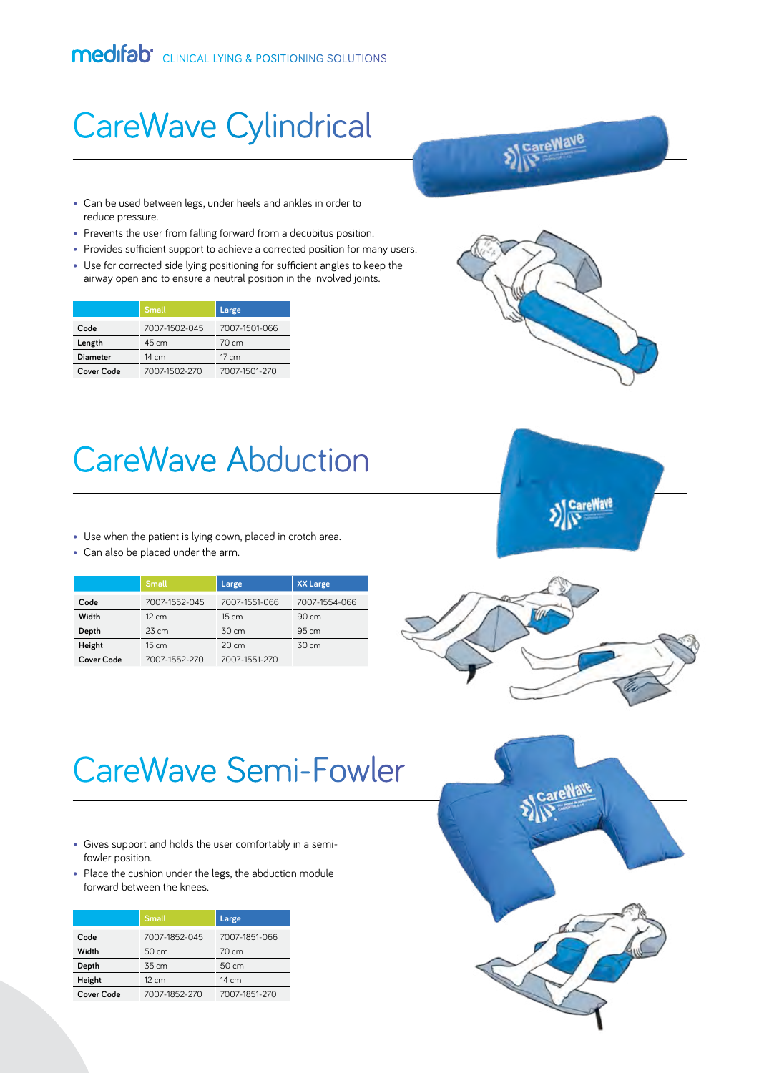# CareWave Cylindrical

- Can be used between legs, under heels and ankles in order to reduce pressure.
- Prevents the user from falling forward from a decubitus position.
- Provides sufficient support to achieve a corrected position for many users.
- Use for corrected side lying positioning for sufficient angles to keep the airway open and to ensure a neutral position in the involved joints.

|                   | <b>Small</b>  | Large           |
|-------------------|---------------|-----------------|
| Code              | 7007-1502-045 | 7007-1501-066   |
| Length            | 45 cm         | $70 \text{ cm}$ |
| <b>Diameter</b>   | 14 cm         | $17 \text{ cm}$ |
| <b>Cover Code</b> | 7007-1502-270 | 7007-1501-270   |



Extra Valle

## CareWave Abduction

- Use when the patient is lying down, placed in crotch area.
- Can also be placed under the arm.

|            | <b>Small</b>    | Large <sub>1</sub> | <b>XX Large</b> |
|------------|-----------------|--------------------|-----------------|
| Code       | 7007-1552-045   | 7007-1551-066      | 7007-1554-066   |
| Width      | $12 \text{ cm}$ | $15 \text{ cm}$    | $90 \text{ cm}$ |
| Depth      | $23 \text{ cm}$ | $30 \text{ cm}$    | $95 \text{ cm}$ |
| Height     | $15 \text{ cm}$ | $20 \text{ cm}$    | $30 \text{ cm}$ |
| Cover Code | 7007-1552-270   | 7007-1551-270      |                 |





# CareWave Semi-Fowler

- Gives support and holds the user comfortably in a semifowler position.
- Place the cushion under the legs, the abduction module forward between the knees.

|            | Small           | Large           |
|------------|-----------------|-----------------|
| Code       | 7007-1852-045   | 7007-1851-066   |
| Width      | 50 cm           | $70 \text{ cm}$ |
| Depth      | 35 cm           | $50 \text{ cm}$ |
| Height     | $12 \text{ cm}$ | $14 \text{ cm}$ |
| Cover Code | 7007-1852-270   | 7007-1851-270   |

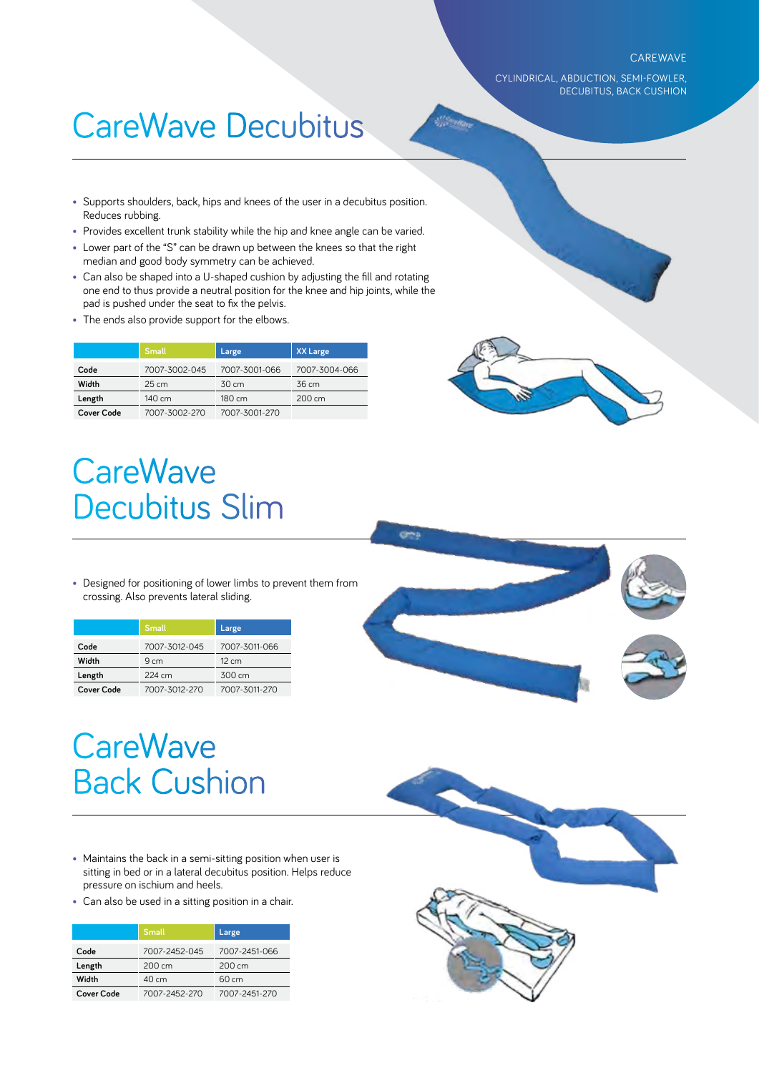#### CAREWAVE

CYLINDRICAL, ABDUCTION, SEMI-FOWLER, DECUBITUS, BACK CUSHION

#### CareWave Decubitus

- Supports shoulders, back, hips and knees of the user in a decubitus position. Reduces rubbing.
- Provides excellent trunk stability while the hip and knee angle can be varied.
- Lower part of the "S" can be drawn up between the knees so that the right median and good body symmetry can be achieved.
- Can also be shaped into a U-shaped cushion by adjusting the fill and rotating one end to thus provide a neutral position for the knee and hip joints, while the pad is pushed under the seat to fix the pelvis.
- The ends also provide support for the elbows.

|                   | <b>Small</b>    | Large         | <b>XX Large</b> |
|-------------------|-----------------|---------------|-----------------|
| Code              | 7007-3002-045   | 7007-3001-066 | 7007-3004-066   |
| Width             | $25 \text{ cm}$ | 30 cm         | $36 \text{ cm}$ |
| Length            | 140 cm          | 180 cm        | 200 cm          |
| <b>Cover Code</b> | 7007-3002-270   | 7007-3001-270 |                 |

#### **CareWave** Decubitus Slim

• Designed for positioning of lower limbs to prevent them from crossing. Also prevents lateral sliding.

|            | <b>Small</b>   | Large           |
|------------|----------------|-----------------|
| Code       | 7007-3012-045  | 7007-3011-066   |
| Width      | $9 \text{ cm}$ | $12 \text{ cm}$ |
| Length     | 224 cm         | 300 cm          |
| Cover Code | 7007-3012-270  | 7007-3011-270   |

## **CareWave** Back Cushion

- Maintains the back in a semi-sitting position when user is sitting in bed or in a lateral decubitus position. Helps reduce pressure on ischium and heels.
- Can also be used in a sitting position in a chair.

|            | <b>Small</b>     | Large            |
|------------|------------------|------------------|
| Code       | 7007-2452-045    | 7007-2451-066    |
| Length     | $200 \text{ cm}$ | $200 \text{ cm}$ |
| Width      | $40 \text{ cm}$  | $60 \text{ cm}$  |
| Cover Code | 7007-2452-270    | 7007-2451-270    |

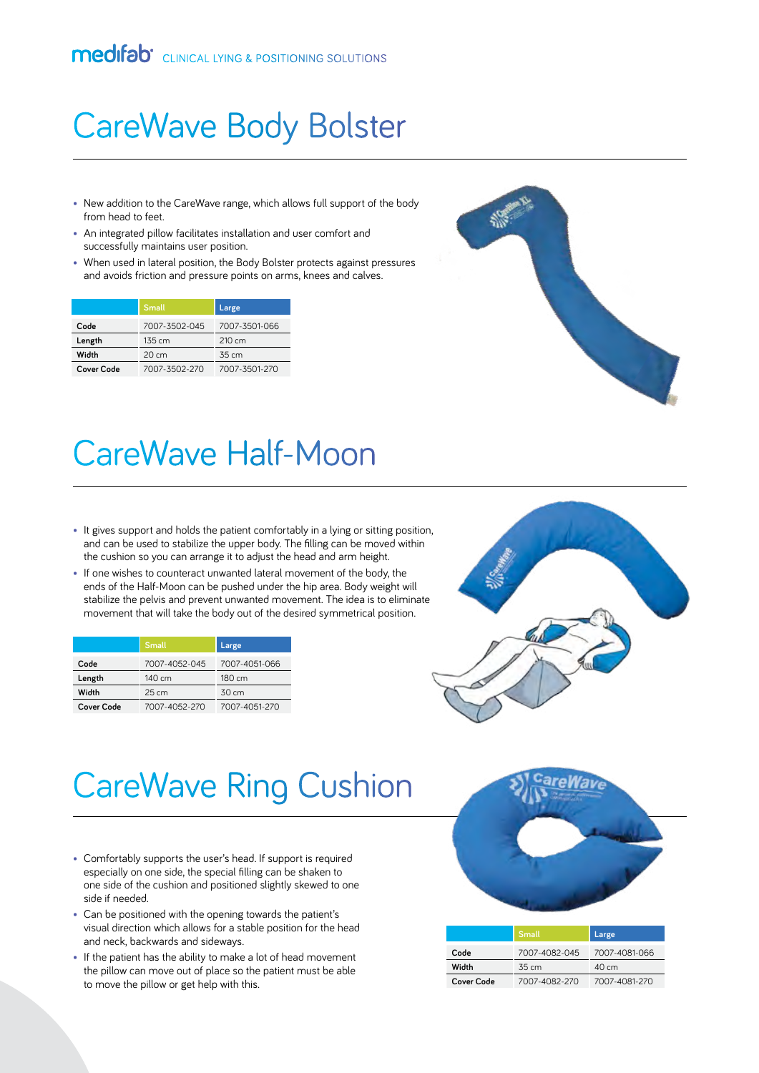# CareWave Body Bolster

- New addition to the CareWave range, which allows full support of the body from head to feet.
- An integrated pillow facilitates installation and user comfort and successfully maintains user position.
- When used in lateral position, the Body Bolster protects against pressures and avoids friction and pressure points on arms, knees and calves.

|            | <b>Small</b>     | Large            |
|------------|------------------|------------------|
| Code       | 7007-3502-045    | 7007-3501-066    |
| Length     | $135 \text{ cm}$ | $210 \text{ cm}$ |
| Width      | $20 \text{ cm}$  | $35 \text{ cm}$  |
| Cover Code | 7007-3502-270    | 7007-3501-270    |



# CareWave Half-Moon

- It gives support and holds the patient comfortably in a lying or sitting position, and can be used to stabilize the upper body. The filling can be moved within the cushion so you can arrange it to adjust the head and arm height.
- If one wishes to counteract unwanted lateral movement of the body, the ends of the Half-Moon can be pushed under the hip area. Body weight will stabilize the pelvis and prevent unwanted movement. The idea is to eliminate movement that will take the body out of the desired symmetrical position.

|                   | <b>Small</b>    | Large           |
|-------------------|-----------------|-----------------|
| Code              | 7007-4052-045   | 7007-4051-066   |
| Length            | 140 cm          | 180 cm          |
| Width             | $25 \text{ cm}$ | $30 \text{ cm}$ |
| <b>Cover Code</b> | 7007-4052-270   | 7007-4051-270   |



# CareWave Ring Cushion

- Comfortably supports the user's head. If support is required especially on one side, the special filling can be shaken to one side of the cushion and positioned slightly skewed to one side if needed.
- Can be positioned with the opening towards the patient's visual direction which allows for a stable position for the head and neck, backwards and sideways.
- If the patient has the ability to make a lot of head movement the pillow can move out of place so the patient must be able to move the pillow or get help with this.



|            | <b>Small</b>    | Large           |
|------------|-----------------|-----------------|
| Code       | 7007-4082-045   | 7007-4081-066   |
| Width      | $35 \text{ cm}$ | $40 \text{ cm}$ |
| Cover Code | 7007-4082-270   | 7007-4081-270   |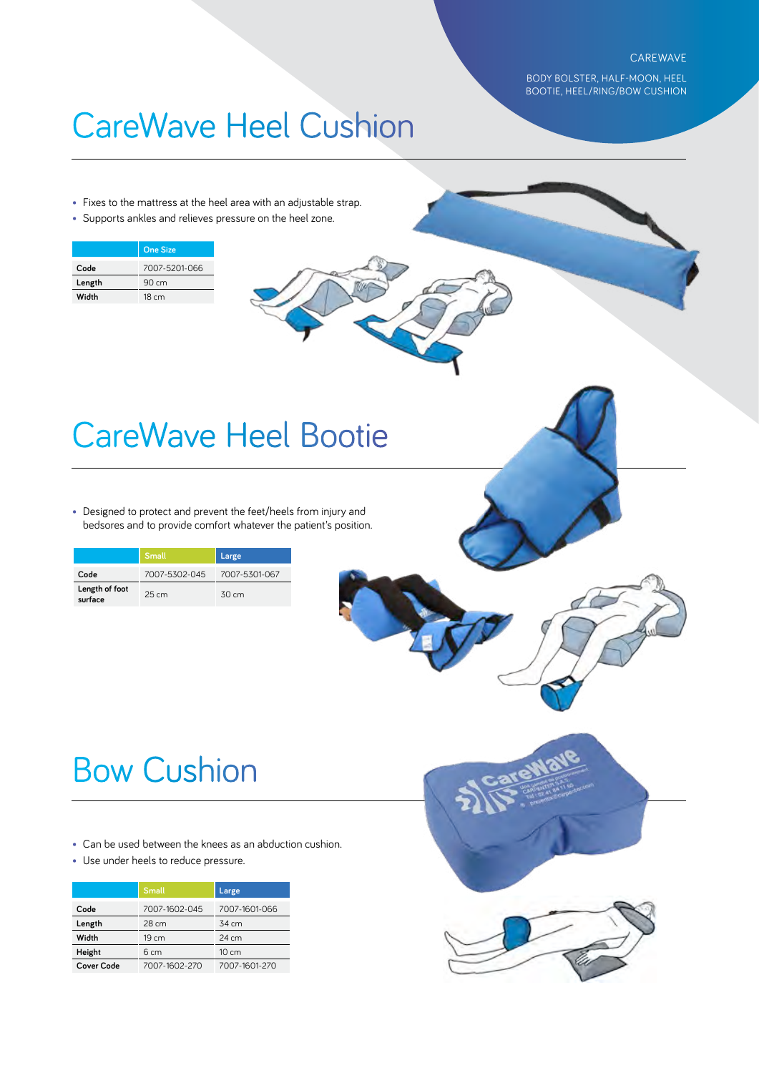BODY BOLSTER, HALF-MOON, HEEL BOOTIE, HEEL/RING/BOW CUSHION

## CareWave Heel Cushion

- Fixes to the mattress at the heel area with an adjustable strap.
- Supports ankles and relieves pressure on the heel zone.

|        | <b>One Size</b> |  |
|--------|-----------------|--|
| Code   | 7007-5201-066   |  |
| Length | $90 \text{ cm}$ |  |
| Width  | $18 \text{ cm}$ |  |

# CareWave Heel Bootie

• Designed to protect and prevent the feet/heels from injury and bedsores and to provide comfort whatever the patient's position.

|                           | Small           | Large           |
|---------------------------|-----------------|-----------------|
| Code                      | 7007-5302-045   | 7007-5301-067   |
| Length of foot<br>surface | $25 \text{ cm}$ | $30 \text{ cm}$ |

## Bow Cushion

- Can be used between the knees as an abduction cushion.
- Use under heels to reduce pressure.

|            | <b>Small</b>    | Large           |
|------------|-----------------|-----------------|
| Code       | 7007-1602-045   | 7007-1601-066   |
| Length     | $28 \text{ cm}$ | 34 cm           |
| Width      | $19 \text{ cm}$ | 24 cm           |
| Height     | 6 cm            | $10 \text{ cm}$ |
| Cover Code | 7007-1602-270   | 7007-1601-270   |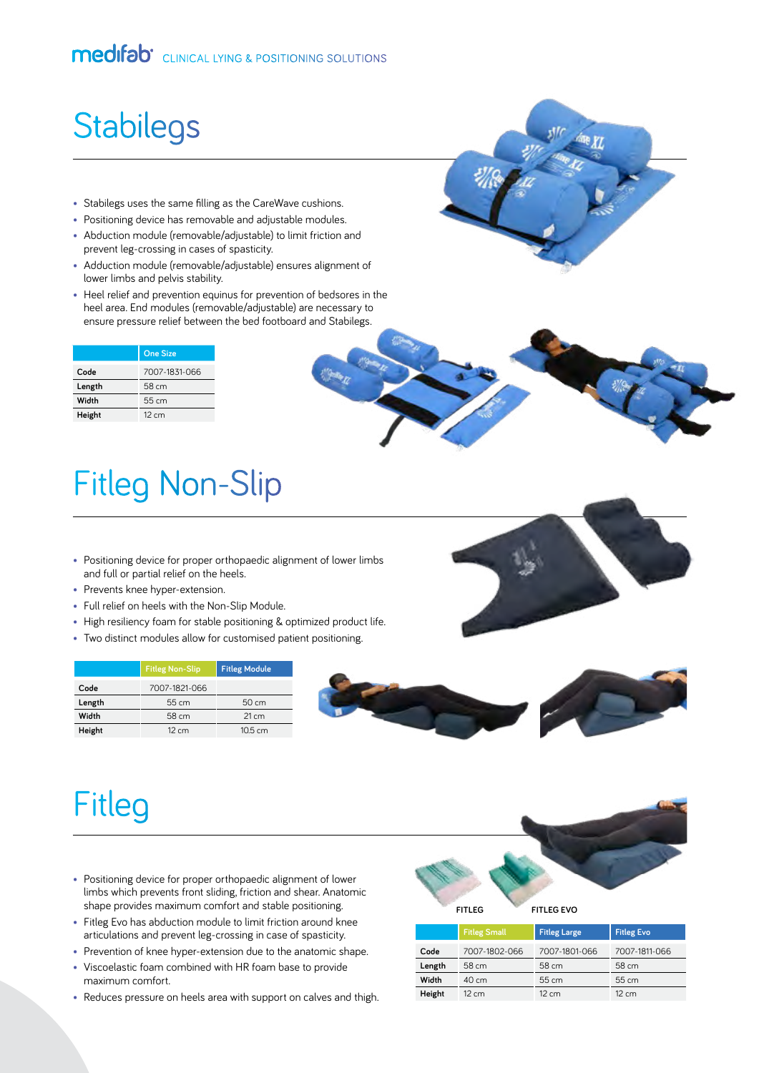#### **medifab** CLINICAL LYING & POSITIONING SOLUTIONS

# **Stabilegs**

- Stabilegs uses the same filling as the CareWave cushions.
- Positioning device has removable and adjustable modules.
- Abduction module (removable/adjustable) to limit friction and prevent leg-crossing in cases of spasticity.
- Adduction module (removable/adjustable) ensures alignment of lower limbs and pelvis stability.
- Heel relief and prevention equinus for prevention of bedsores in the heel area. End modules (removable/adjustable) are necessary to ensure pressure relief between the bed footboard and Stabilegs.

|        | <b>One Size</b> |  |
|--------|-----------------|--|
| Code   | 7007-1831-066   |  |
| Length | 58 cm           |  |
| Width  | 55 cm           |  |
| Height | $12 \text{ cm}$ |  |

# Fitleg Non-Slip

- Positioning device for proper orthopaedic alignment of lower limbs and full or partial relief on the heels.
- Prevents knee hyper-extension.
- Full relief on heels with the Non-Slip Module.
- High resiliency foam for stable positioning & optimized product life.
- Two distinct modules allow for customised patient positioning.

|        | <b>Fitleg Non-Slip</b> | <b>Fitleg Module</b> |
|--------|------------------------|----------------------|
| Code   | 7007-1821-066          |                      |
| Length | 55 cm                  | $50 \text{ cm}$      |
| Width  | 58 cm                  | $21 \text{ cm}$      |
| Height | $12 \, \text{cm}$      | $10.5 \text{ cm}$    |



# Fitleg

- Positioning device for proper orthopaedic alignment of lower limbs which prevents front sliding, friction and shear. Anatomic shape provides maximum comfort and stable positioning.
- Fitleg Evo has abduction module to limit friction around knee articulations and prevent leg-crossing in case of spasticity.
- Prevention of knee hyper-extension due to the anatomic shape.
- Viscoelastic foam combined with HR foam base to provide maximum comfort.
- Reduces pressure on heels area with support on calves and thigh.



|        | <b>Fitleg Small</b> | <b>Fitleg Large</b> | <b>Fitleg Evo</b> |
|--------|---------------------|---------------------|-------------------|
| Code   | 7007-1802-066       | 7007-1801-066       | 7007-1811-066     |
| Length | 58 cm               | 58 cm               | 58 cm             |
| Width  | $40 \text{ cm}$     | 55 cm               | 55 cm             |
| Height | $12 \text{ cm}$     | $12 \text{ cm}$     | $12 \text{ cm}$   |